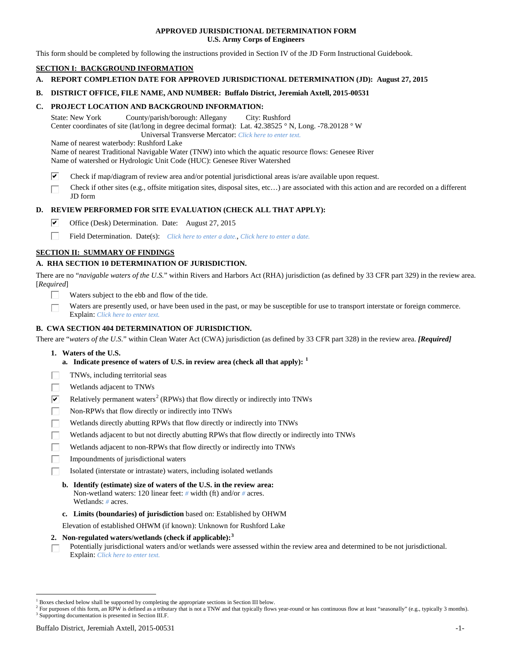## **APPROVED JURISDICTIONAL DETERMINATION FORM U.S. Army Corps of Engineers**

This form should be completed by following the instructions provided in Section IV of the JD Form Instructional Guidebook.

# **SECTION I: BACKGROUND INFORMATION**

- **A. REPORT COMPLETION DATE FOR APPROVED JURISDICTIONAL DETERMINATION (JD): August 27, 2015**
- **B. DISTRICT OFFICE, FILE NAME, AND NUMBER: Buffalo District, Jeremiah Axtell, 2015-00531**

## **C. PROJECT LOCATION AND BACKGROUND INFORMATION:**

State: New York County/parish/borough: Allegany City: Rushford Center coordinates of site (lat/long in degree decimal format): Lat. 42.38525 ° N, Long. -78.20128 ° W Universal Transverse Mercator: *Click here to enter text.*

Name of nearest waterbody: Rushford Lake

Name of nearest Traditional Navigable Water (TNW) into which the aquatic resource flows: Genesee River Name of watershed or Hydrologic Unit Code (HUC): Genesee River Watershed

- ☑ Check if map/diagram of review area and/or potential jurisdictional areas is/are available upon request.
- Check if other sites (e.g., offsite mitigation sites, disposal sites, etc…) are associated with this action and are recorded on a different JD form

# **D. REVIEW PERFORMED FOR SITE EVALUATION (CHECK ALL THAT APPLY):**

- ⊽ Office (Desk) Determination. Date: August 27, 2015
- п Field Determination. Date(s): *Click here to enter a date.*, *Click here to enter a date.*

# **SECTION II: SUMMARY OF FINDINGS**

# **A. RHA SECTION 10 DETERMINATION OF JURISDICTION.**

There are no "*navigable waters of the U.S.*" within Rivers and Harbors Act (RHA) jurisdiction (as defined by 33 CFR part 329) in the review area. [*Required*]

- Waters subject to the ebb and flow of the tide.
- Waters are presently used, or have been used in the past, or may be susceptible for use to transport interstate or foreign commerce. Explain: *Click here to enter text.*

# **B. CWA SECTION 404 DETERMINATION OF JURISDICTION.**

There are "*waters of the U.S.*" within Clean Water Act (CWA) jurisdiction (as defined by 33 CFR part 328) in the review area. *[Required]*

- **1. Waters of the U.S.**
	- **a. Indicate presence of waters of U.S. in review area (check all that apply): [1](#page-0-0)**
- TNWs, including territorial seas
- Wetlands adjacent to TNWs
- $\overline{\mathbf{v}}$ Relatively permanent waters<sup>[2](#page-0-1)</sup> (RPWs) that flow directly or indirectly into TNWs
- Non-RPWs that flow directly or indirectly into TNWs
- Wetlands directly abutting RPWs that flow directly or indirectly into TNWs
- Wetlands adjacent to but not directly abutting RPWs that flow directly or indirectly into TNWs
- Wetlands adjacent to non-RPWs that flow directly or indirectly into TNWs
- Impoundments of jurisdictional waters
- Isolated (interstate or intrastate) waters, including isolated wetlands
	- **b. Identify (estimate) size of waters of the U.S. in the review area:** Non-wetland waters: 120 linear feet: *#* width (ft) and/or *#* acres. Wetlands: *#* acres.
	- **c. Limits (boundaries) of jurisdiction** based on: Established by OHWM

Elevation of established OHWM (if known): Unknown for Rushford Lake

- **2. Non-regulated waters/wetlands (check if applicable): [3](#page-0-2)**
- Potentially jurisdictional waters and/or wetlands were assessed within the review area and determined to be not jurisdictional. П Explain: *Click here to enter text.*

<span id="page-0-0"></span><sup>&</sup>lt;sup>1</sup> Boxes checked below shall be supported by completing the appropriate sections in Section III below.

<span id="page-0-2"></span><span id="page-0-1"></span> $^2$  For purposes of this form, an RPW is defined as a tributary that is not a TNW and that typically flows year-round or has continuous flow at least "seasonally" (e.g., typically 3 months). 3 Supporting documentation is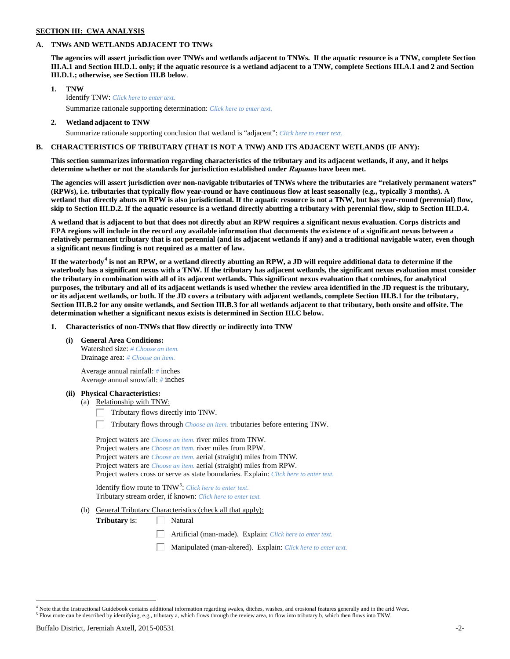# **SECTION III: CWA ANALYSIS**

## **A. TNWs AND WETLANDS ADJACENT TO TNWs**

**The agencies will assert jurisdiction over TNWs and wetlands adjacent to TNWs. If the aquatic resource is a TNW, complete Section III.A.1 and Section III.D.1. only; if the aquatic resource is a wetland adjacent to a TNW, complete Sections III.A.1 and 2 and Section III.D.1.; otherwise, see Section III.B below**.

- **1. TNW**  Identify TNW: *Click here to enter text.*
	- Summarize rationale supporting determination: *Click here to enter text.*
- **2. Wetland adjacent to TNW** Summarize rationale supporting conclusion that wetland is "adjacent": *Click here to enter text.*

# **B. CHARACTERISTICS OF TRIBUTARY (THAT IS NOT A TNW) AND ITS ADJACENT WETLANDS (IF ANY):**

**This section summarizes information regarding characteristics of the tributary and its adjacent wetlands, if any, and it helps determine whether or not the standards for jurisdiction established under Rapanos have been met.** 

**The agencies will assert jurisdiction over non-navigable tributaries of TNWs where the tributaries are "relatively permanent waters" (RPWs), i.e. tributaries that typically flow year-round or have continuous flow at least seasonally (e.g., typically 3 months). A wetland that directly abuts an RPW is also jurisdictional. If the aquatic resource is not a TNW, but has year-round (perennial) flow, skip to Section III.D.2. If the aquatic resource is a wetland directly abutting a tributary with perennial flow, skip to Section III.D.4.**

**A wetland that is adjacent to but that does not directly abut an RPW requires a significant nexus evaluation. Corps districts and EPA regions will include in the record any available information that documents the existence of a significant nexus between a relatively permanent tributary that is not perennial (and its adjacent wetlands if any) and a traditional navigable water, even though a significant nexus finding is not required as a matter of law.**

**If the waterbody[4](#page-1-0) is not an RPW, or a wetland directly abutting an RPW, a JD will require additional data to determine if the waterbody has a significant nexus with a TNW. If the tributary has adjacent wetlands, the significant nexus evaluation must consider the tributary in combination with all of its adjacent wetlands. This significant nexus evaluation that combines, for analytical purposes, the tributary and all of its adjacent wetlands is used whether the review area identified in the JD request is the tributary, or its adjacent wetlands, or both. If the JD covers a tributary with adjacent wetlands, complete Section III.B.1 for the tributary, Section III.B.2 for any onsite wetlands, and Section III.B.3 for all wetlands adjacent to that tributary, both onsite and offsite. The determination whether a significant nexus exists is determined in Section III.C below.**

**1. Characteristics of non-TNWs that flow directly or indirectly into TNW**

**(i) General Area Conditions:**

Watershed size: *# Choose an item.* Drainage area: *# Choose an item.*

Average annual rainfall: *#* inches Average annual snowfall: *#* inches

## **(ii) Physical Characteristics:**

- (a) Relationship with TNW:
	- Tributary flows directly into TNW. Г.

Tributary flows through *Choose an item.* tributaries before entering TNW.

Project waters are *Choose an item.* river miles from TNW. Project waters are *Choose an item.* river miles from RPW. Project waters are *Choose an item.* aerial (straight) miles from TNW. Project waters are *Choose an item.* aerial (straight) miles from RPW. Project waters cross or serve as state boundaries. Explain: *Click here to enter text.*

Identify flow route to TNW<sup>[5](#page-1-1)</sup>: *Click here to enter text.* Tributary stream order, if known: *Click here to enter text.*

(b) General Tributary Characteristics (check all that apply):

**Tributary** is:  $\Box$  Natural

- Artificial (man-made). Explain: *Click here to enter text.*
- Manipulated (man-altered). Explain: *Click here to enter text.*

<span id="page-1-1"></span><span id="page-1-0"></span> $4$  Note that the Instructional Guidebook contains additional information regarding swales, ditches, washes, and erosional features generally and in the arid West.<br> $5$  Flow route can be described by identifying, e.g., tri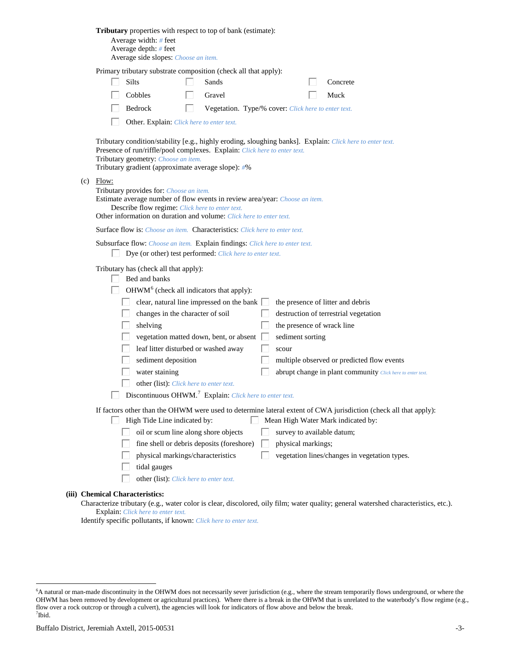|  | Tributary properties with respect to top of bank (estimate):<br>Average width: $#$ feet<br>Average depth: $#$ feet<br>Average side slopes: Choose an item.                                                                                                                                                                                                                                                                                                                                                                                                                                                                                                                                                                   |
|--|------------------------------------------------------------------------------------------------------------------------------------------------------------------------------------------------------------------------------------------------------------------------------------------------------------------------------------------------------------------------------------------------------------------------------------------------------------------------------------------------------------------------------------------------------------------------------------------------------------------------------------------------------------------------------------------------------------------------------|
|  | Primary tributary substrate composition (check all that apply):<br><b>Silts</b><br>Concrete<br>Sands<br>Cobbles<br>Gravel<br>Muck<br>Bedrock<br>Vegetation. Type/% cover: Click here to enter text.<br>H<br>Other. Explain: Click here to enter text.                                                                                                                                                                                                                                                                                                                                                                                                                                                                        |
|  | Tributary condition/stability [e.g., highly eroding, sloughing banks]. Explain: Click here to enter text.<br>Presence of run/riffle/pool complexes. Explain: Click here to enter text.<br>Tributary geometry: Choose an item.<br>Tributary gradient (approximate average slope): #%                                                                                                                                                                                                                                                                                                                                                                                                                                          |
|  | $(c)$ Flow:<br>Tributary provides for: Choose an item.<br>Estimate average number of flow events in review area/year: Choose an item.<br>Describe flow regime: Click here to enter text.<br>Other information on duration and volume: Click here to enter text.                                                                                                                                                                                                                                                                                                                                                                                                                                                              |
|  | <b>Surface flow is:</b> Choose an item. <b>Characteristics:</b> Click here to enter text.                                                                                                                                                                                                                                                                                                                                                                                                                                                                                                                                                                                                                                    |
|  | Subsurface flow: Choose an item. Explain findings: Click here to enter text.<br>Dye (or other) test performed: Click here to enter text.                                                                                                                                                                                                                                                                                                                                                                                                                                                                                                                                                                                     |
|  | Tributary has (check all that apply):<br>Bed and banks<br>OHWM <sup>6</sup> (check all indicators that apply):<br>clear, natural line impressed on the bank $\Box$<br>the presence of litter and debris<br>changes in the character of soil<br>destruction of terrestrial vegetation<br>the presence of wrack line<br>shelving<br>vegetation matted down, bent, or absent<br>sediment sorting<br>leaf litter disturbed or washed away<br>scour<br>sediment deposition<br>multiple observed or predicted flow events<br>water staining<br>abrupt change in plant community Click here to enter text.<br>other (list): Click here to enter text.<br><b>Discontinuous OHWM.</b> <sup>7</sup> Explain: Click here to enter text. |
|  | If factors other than the OHWM were used to determine lateral extent of CWA jurisdiction (check all that apply):<br>High Tide Line indicated by:<br>Mean High Water Mark indicated by:<br>L<br>oil or scum line along shore objects<br>survey to available datum;<br>fine shell or debris deposits (foreshore)<br>physical markings;<br>physical markings/characteristics<br>vegetation lines/changes in vegetation types.<br>tidal gauges<br>other (list): Click here to enter text.                                                                                                                                                                                                                                        |
|  | (iii) Chemical Characteristics:                                                                                                                                                                                                                                                                                                                                                                                                                                                                                                                                                                                                                                                                                              |

Characterize tributary (e.g., water color is clear, discolored, oily film; water quality; general watershed characteristics, etc.). Explain: *Click here to enter text.*

Identify specific pollutants, if known: *Click here to enter text.*

<span id="page-2-1"></span><span id="page-2-0"></span> <sup>6</sup> <sup>6</sup>A natural or man-made discontinuity in the OHWM does not necessarily sever jurisdiction (e.g., where the stream temporarily flows underground, or where the OHWM has been removed by development or agricultural practices). Where there is a break in the OHWM that is unrelated to the waterbody's flow regime (e.g., flow over a rock outcrop or through a culvert), the agencies will look for indicators of flow above and below the break. 7 Ibid.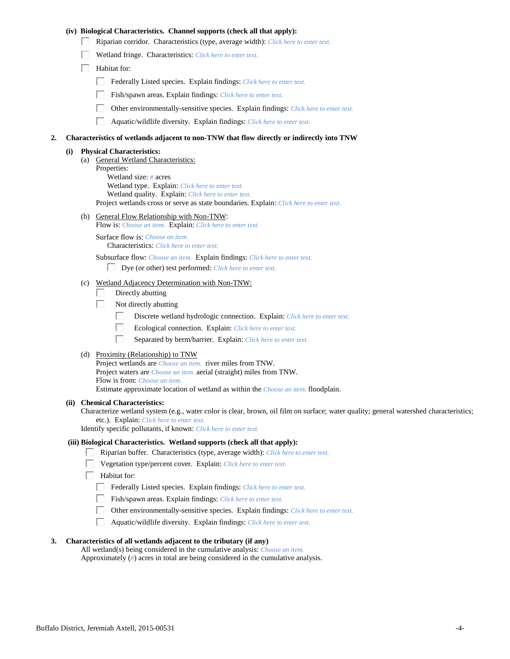# **(iv) Biological Characteristics. Channel supports (check all that apply):**

- Riparian corridor. Characteristics (type, average width): *Click here to enter text.*
- Wetland fringe. Characteristics: *Click here to enter text.*
- $\Box$  Habitat for:
	- Federally Listed species. Explain findings: *Click here to enter text.*
	- Fish/spawn areas. Explain findings: *Click here to enter text.*
	- Other environmentally-sensitive species. Explain findings: *Click here to enter text.*
	- П. Aquatic/wildlife diversity. Explain findings: *Click here to enter text.*

### **2. Characteristics of wetlands adjacent to non-TNW that flow directly or indirectly into TNW**

#### **(i) Physical Characteristics:**

(a) General Wetland Characteristics: Properties: Wetland size: *#* acres Wetland type. Explain: *Click here to enter text.* Wetland quality. Explain: *Click here to enter text.* Project wetlands cross or serve as state boundaries. Explain: *Click here to enter text.*

(b) General Flow Relationship with Non-TNW:

Flow is: *Choose an item.* Explain: *Click here to enter text.*

Surface flow is: *Choose an item.* Characteristics: *Click here to enter text.*

Subsurface flow: *Choose an item.* Explain findings: *Click here to enter text.*

- Dye (or other) test performed: *Click here to enter text.*
- (c) Wetland Adjacency Determination with Non-TNW:
	- Directly abutting П.
	- П. Not directly abutting
		- П. Discrete wetland hydrologic connection. Explain: *Click here to enter text.*
		- П. Ecological connection. Explain: *Click here to enter text.*
		- П. Separated by berm/barrier. Explain: *Click here to enter text.*
- (d) Proximity (Relationship) to TNW

Project wetlands are *Choose an item.* river miles from TNW. Project waters are *Choose an item.* aerial (straight) miles from TNW. Flow is from: *Choose an item.* Estimate approximate location of wetland as within the *Choose an item.* floodplain.

#### **(ii) Chemical Characteristics:**

Characterize wetland system (e.g., water color is clear, brown, oil film on surface; water quality; general watershed characteristics; etc.). Explain: *Click here to enter text.*

Identify specific pollutants, if known: *Click here to enter text.*

## **(iii) Biological Characteristics. Wetland supports (check all that apply):**

- Riparian buffer. Characteristics (type, average width): *Click here to enter text.*
	- Vegetation type/percent cover. Explain: *Click here to enter text.*
	- Habitat for:
	- Federally Listed species. Explain findings: *Click here to enter text*.
	- Fish/spawn areas. Explain findings: *Click here to enter text.*
	- $\Box$ Other environmentally-sensitive species. Explain findings: *Click here to enter text.*
	- Aquatic/wildlife diversity. Explain findings: *Click here to enter text.*

## **3. Characteristics of all wetlands adjacent to the tributary (if any)**

All wetland(s) being considered in the cumulative analysis: *Choose an item.* Approximately (*#*) acres in total are being considered in the cumulative analysis.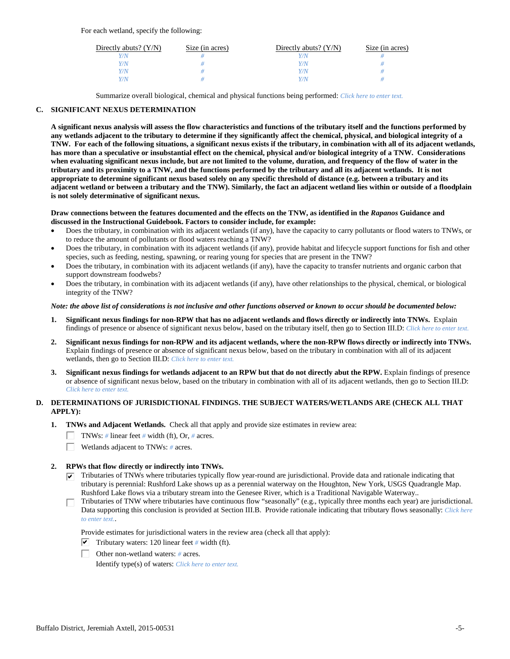For each wetland, specify the following:

| Directly abuts? $(Y/N)$ | Size (in acres) | Directly abuts? $(Y/N)$ | Size (in acres) |
|-------------------------|-----------------|-------------------------|-----------------|
|                         |                 |                         |                 |
| V/N                     |                 | Y/N                     |                 |
| V/N                     |                 | Y/N                     |                 |
|                         |                 | Y/N                     |                 |

Summarize overall biological, chemical and physical functions being performed: *Click here to enter text.*

# **C. SIGNIFICANT NEXUS DETERMINATION**

**A significant nexus analysis will assess the flow characteristics and functions of the tributary itself and the functions performed by any wetlands adjacent to the tributary to determine if they significantly affect the chemical, physical, and biological integrity of a TNW. For each of the following situations, a significant nexus exists if the tributary, in combination with all of its adjacent wetlands, has more than a speculative or insubstantial effect on the chemical, physical and/or biological integrity of a TNW. Considerations when evaluating significant nexus include, but are not limited to the volume, duration, and frequency of the flow of water in the tributary and its proximity to a TNW, and the functions performed by the tributary and all its adjacent wetlands. It is not appropriate to determine significant nexus based solely on any specific threshold of distance (e.g. between a tributary and its adjacent wetland or between a tributary and the TNW). Similarly, the fact an adjacent wetland lies within or outside of a floodplain is not solely determinative of significant nexus.** 

## **Draw connections between the features documented and the effects on the TNW, as identified in the** *Rapanos* **Guidance and discussed in the Instructional Guidebook. Factors to consider include, for example:**

- Does the tributary, in combination with its adjacent wetlands (if any), have the capacity to carry pollutants or flood waters to TNWs, or to reduce the amount of pollutants or flood waters reaching a TNW?
- Does the tributary, in combination with its adjacent wetlands (if any), provide habitat and lifecycle support functions for fish and other species, such as feeding, nesting, spawning, or rearing young for species that are present in the TNW?
- Does the tributary, in combination with its adjacent wetlands (if any), have the capacity to transfer nutrients and organic carbon that support downstream foodwebs?
- Does the tributary, in combination with its adjacent wetlands (if any), have other relationships to the physical, chemical, or biological integrity of the TNW?

## *Note: the above list of considerations is not inclusive and other functions observed or known to occur should be documented below:*

- **1. Significant nexus findings for non-RPW that has no adjacent wetlands and flows directly or indirectly into TNWs.** Explain findings of presence or absence of significant nexus below, based on the tributary itself, then go to Section III.D: *Click here to enter text.*
- **2. Significant nexus findings for non-RPW and its adjacent wetlands, where the non-RPW flows directly or indirectly into TNWs.**  Explain findings of presence or absence of significant nexus below, based on the tributary in combination with all of its adjacent wetlands, then go to Section III.D: *Click here to enter text.*
- **3. Significant nexus findings for wetlands adjacent to an RPW but that do not directly abut the RPW.** Explain findings of presence or absence of significant nexus below, based on the tributary in combination with all of its adjacent wetlands, then go to Section III.D: *Click here to enter text.*

# **D. DETERMINATIONS OF JURISDICTIONAL FINDINGS. THE SUBJECT WATERS/WETLANDS ARE (CHECK ALL THAT APPLY):**

- **1. TNWs and Adjacent Wetlands.** Check all that apply and provide size estimates in review area:
	- TNWs: *#* linear feet *#* width (ft), Or, *#* acres.
	- Wetlands adjacent to TNWs: *#* acres. П.

# **2. RPWs that flow directly or indirectly into TNWs.**

- $\triangledown$  Tributaries of TNWs where tributaries typically flow year-round are jurisdictional. Provide data and rationale indicating that tributary is perennial: Rushford Lake shows up as a perennial waterway on the Houghton, New York, USGS Quadrangle Map. Rushford Lake flows via a tributary stream into the Genesee River, which is a Traditional Navigable Waterway..
- Tributaries of TNW where tributaries have continuous flow "seasonally" (e.g., typically three months each year) are jurisdictional. П. Data supporting this conclusion is provided at Section III.B. Provide rationale indicating that tributary flows seasonally: *Click here to enter text.*.

Provide estimates for jurisdictional waters in the review area (check all that apply):

- $\triangledown$  Tributary waters: 120 linear feet # width (ft).
- Other non-wetland waters: *#* acres.

Identify type(s) of waters: *Click here to enter text.*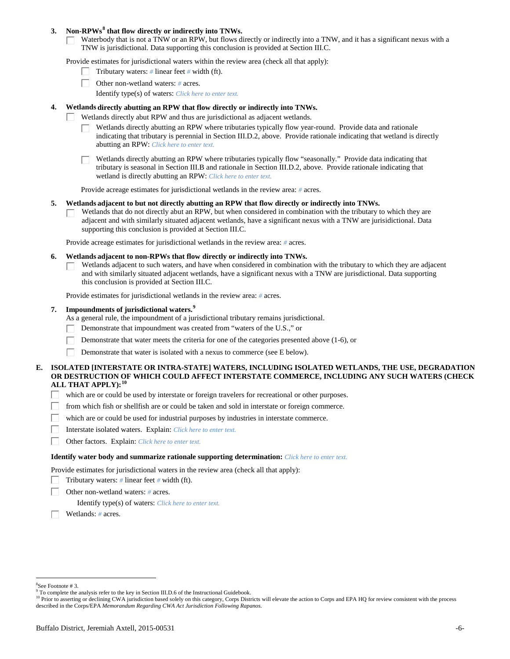## **3. Non-RPWs[8](#page-5-0) that flow directly or indirectly into TNWs.**

Waterbody that is not a TNW or an RPW, but flows directly or indirectly into a TNW, and it has a significant nexus with a TNW is jurisdictional. Data supporting this conclusion is provided at Section III.C.

Provide estimates for jurisdictional waters within the review area (check all that apply):

- Tributary waters: *#* linear feet *#* width (ft).
- Other non-wetland waters: *#* acres.
	- Identify type(s) of waters: *Click here to enter text.*
- **4. Wetlands directly abutting an RPW that flow directly or indirectly into TNWs.**
	- ГT. Wetlands directly abut RPW and thus are jurisdictional as adjacent wetlands.
		- Wetlands directly abutting an RPW where tributaries typically flow year-round. Provide data and rationale indicating that tributary is perennial in Section III.D.2, above. Provide rationale indicating that wetland is directly abutting an RPW: *Click here to enter text.*

Wetlands directly abutting an RPW where tributaries typically flow "seasonally." Provide data indicating that tributary is seasonal in Section III.B and rationale in Section III.D.2, above. Provide rationale indicating that wetland is directly abutting an RPW: *Click here to enter text.*

Provide acreage estimates for jurisdictional wetlands in the review area: *#* acres.

## **5. Wetlands adjacent to but not directly abutting an RPW that flow directly or indirectly into TNWs.**

Wetlands that do not directly abut an RPW, but when considered in combination with the tributary to which they are П adjacent and with similarly situated adjacent wetlands, have a significant nexus with a TNW are jurisidictional. Data supporting this conclusion is provided at Section III.C.

Provide acreage estimates for jurisdictional wetlands in the review area: *#* acres.

- **6. Wetlands adjacent to non-RPWs that flow directly or indirectly into TNWs.** 
	- Wetlands adjacent to such waters, and have when considered in combination with the tributary to which they are adjacent and with similarly situated adjacent wetlands, have a significant nexus with a TNW are jurisdictional. Data supporting this conclusion is provided at Section III.C.

Provide estimates for jurisdictional wetlands in the review area: *#* acres.

# **7. Impoundments of jurisdictional waters. [9](#page-5-1)**

As a general rule, the impoundment of a jurisdictional tributary remains jurisdictional.

- Demonstrate that impoundment was created from "waters of the U.S.," or
- Demonstrate that water meets the criteria for one of the categories presented above (1-6), or
- Demonstrate that water is isolated with a nexus to commerce (see E below). Г

# **E. ISOLATED [INTERSTATE OR INTRA-STATE] WATERS, INCLUDING ISOLATED WETLANDS, THE USE, DEGRADATION OR DESTRUCTION OF WHICH COULD AFFECT INTERSTATE COMMERCE, INCLUDING ANY SUCH WATERS (CHECK ALL THAT APPLY):[10](#page-5-2)**

- $\Box$ which are or could be used by interstate or foreign travelers for recreational or other purposes.
- from which fish or shellfish are or could be taken and sold in interstate or foreign commerce.
- which are or could be used for industrial purposes by industries in interstate commerce.
- П. Interstate isolated waters.Explain: *Click here to enter text.*
- п Other factors.Explain: *Click here to enter text.*

## **Identify water body and summarize rationale supporting determination:** *Click here to enter text.*

Provide estimates for jurisdictional waters in the review area (check all that apply):

- Tributary waters: *#* linear feet *#* width (ft).
- Other non-wetland waters: *#* acres.

Identify type(s) of waters: *Click here to enter text.*

Wetlands: *#* acres.

 $\frac{1}{8}$ See Footnote # 3.

<span id="page-5-1"></span><span id="page-5-0"></span><sup>&</sup>lt;sup>9</sup> To complete the analysis refer to the key in Section III.D.6 of the Instructional Guidebook.

<span id="page-5-2"></span><sup>&</sup>lt;sup>10</sup> Prior to asserting or declining CWA jurisdiction based solely on this category, Corps Districts will elevate the action to Corps and EPA HQ for review consistent with the process described in the Corps/EPA *Memorandum Regarding CWA Act Jurisdiction Following Rapanos.*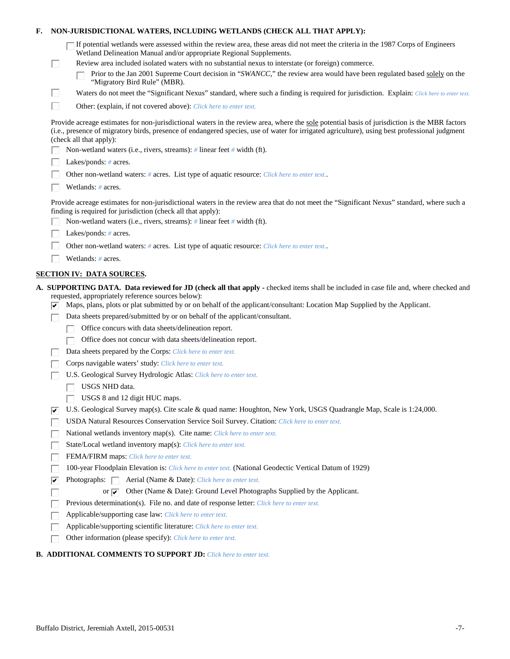| Е.                                                                                                                                                                                                         | NON-JURISDICTIONAL WATERS, INCLUDING WETLANDS (CHECK ALL THAT APPLY): |                                                                                                                                                                                                                                                                                                                           |  |
|------------------------------------------------------------------------------------------------------------------------------------------------------------------------------------------------------------|-----------------------------------------------------------------------|---------------------------------------------------------------------------------------------------------------------------------------------------------------------------------------------------------------------------------------------------------------------------------------------------------------------------|--|
|                                                                                                                                                                                                            |                                                                       | If potential wetlands were assessed within the review area, these areas did not meet the criteria in the 1987 Corps of Engineers<br>Wetland Delineation Manual and/or appropriate Regional Supplements.                                                                                                                   |  |
|                                                                                                                                                                                                            | L                                                                     | Review area included isolated waters with no substantial nexus to interstate (or foreign) commerce.                                                                                                                                                                                                                       |  |
|                                                                                                                                                                                                            |                                                                       | Prior to the Jan 2001 Supreme Court decision in "SWANCC," the review area would have been regulated based solely on the<br>"Migratory Bird Rule" (MBR).                                                                                                                                                                   |  |
|                                                                                                                                                                                                            | Ш                                                                     | Waters do not meet the "Significant Nexus" standard, where such a finding is required for jurisdiction. Explain: Click here to enter text.                                                                                                                                                                                |  |
|                                                                                                                                                                                                            | П                                                                     | Other: (explain, if not covered above): Click here to enter text.                                                                                                                                                                                                                                                         |  |
|                                                                                                                                                                                                            |                                                                       | Provide acreage estimates for non-jurisdictional waters in the review area, where the sole potential basis of jurisdiction is the MBR factors<br>(i.e., presence of migratory birds, presence of endangered species, use of water for irrigated agriculture), using best professional judgment<br>(check all that apply): |  |
|                                                                                                                                                                                                            |                                                                       | Non-wetland waters (i.e., rivers, streams): # linear feet # width (ft).                                                                                                                                                                                                                                                   |  |
|                                                                                                                                                                                                            |                                                                       | Lakes/ponds: $# \, \text{acres.}$                                                                                                                                                                                                                                                                                         |  |
| Other non-wetland waters: # acres. List type of aquatic resource: Click here to enter text                                                                                                                 |                                                                       |                                                                                                                                                                                                                                                                                                                           |  |
|                                                                                                                                                                                                            | Wetlands: # acres.                                                    |                                                                                                                                                                                                                                                                                                                           |  |
| Provide acreage estimates for non-jurisdictional waters in the review area that do not meet the "Significant Nexus" standard, where such a<br>finding is required for jurisdiction (check all that apply): |                                                                       |                                                                                                                                                                                                                                                                                                                           |  |
|                                                                                                                                                                                                            |                                                                       | Non-wetland waters (i.e., rivers, streams): $\#$ linear feet $\#$ width (ft).                                                                                                                                                                                                                                             |  |
|                                                                                                                                                                                                            |                                                                       | Lakes/ponds: $# \, \text{acres.}$                                                                                                                                                                                                                                                                                         |  |
|                                                                                                                                                                                                            |                                                                       | Other non-wetland waters: # acres. List type of aquatic resource: Click here to enter text                                                                                                                                                                                                                                |  |
|                                                                                                                                                                                                            |                                                                       | Wetlands: # acres.                                                                                                                                                                                                                                                                                                        |  |
|                                                                                                                                                                                                            |                                                                       | <b>SECTION IV: DATA SOURCES.</b>                                                                                                                                                                                                                                                                                          |  |
|                                                                                                                                                                                                            |                                                                       | A. SUPPORTING DATA. Data reviewed for JD (check all that apply - checked items shall be included in case file and, where checked and                                                                                                                                                                                      |  |
|                                                                                                                                                                                                            | ∣✔                                                                    | requested, appropriately reference sources below):<br>Maps, plans, plots or plat submitted by or on behalf of the applicant/consultant: Location Map Supplied by the Applicant.                                                                                                                                           |  |
|                                                                                                                                                                                                            |                                                                       | Data sheets prepared/submitted by or on behalf of the applicant/consultant.                                                                                                                                                                                                                                               |  |
|                                                                                                                                                                                                            |                                                                       | Office concurs with data sheets/delineation report.                                                                                                                                                                                                                                                                       |  |
|                                                                                                                                                                                                            |                                                                       | Office does not concur with data sheets/delineation report.                                                                                                                                                                                                                                                               |  |
|                                                                                                                                                                                                            |                                                                       | Data sheets prepared by the Corps: Click here to enter text.                                                                                                                                                                                                                                                              |  |
|                                                                                                                                                                                                            |                                                                       | Corps navigable waters' study: Click here to enter text.                                                                                                                                                                                                                                                                  |  |
|                                                                                                                                                                                                            |                                                                       | U.S. Geological Survey Hydrologic Atlas: Click here to enter text.                                                                                                                                                                                                                                                        |  |
|                                                                                                                                                                                                            |                                                                       | USGS NHD data.                                                                                                                                                                                                                                                                                                            |  |
|                                                                                                                                                                                                            |                                                                       | USGS 8 and 12 digit HUC maps.                                                                                                                                                                                                                                                                                             |  |
|                                                                                                                                                                                                            | ∣✔                                                                    | U.S. Geological Survey map(s). Cite scale & quad name: Houghton, New York, USGS Quadrangle Map, Scale is 1:24,000.                                                                                                                                                                                                        |  |
|                                                                                                                                                                                                            |                                                                       | USDA Natural Resources Conservation Service Soil Survey. Citation: Click here to enter text.                                                                                                                                                                                                                              |  |
|                                                                                                                                                                                                            |                                                                       | National wetlands inventory map(s). Cite name: Click here to enter text.                                                                                                                                                                                                                                                  |  |
|                                                                                                                                                                                                            |                                                                       | State/Local wetland inventory map(s): Click here to enter text.                                                                                                                                                                                                                                                           |  |
|                                                                                                                                                                                                            |                                                                       | FEMA/FIRM maps: Click here to enter text.                                                                                                                                                                                                                                                                                 |  |
|                                                                                                                                                                                                            |                                                                       | 100-year Floodplain Elevation is: Click here to enter text. (National Geodectic Vertical Datum of 1929)                                                                                                                                                                                                                   |  |
|                                                                                                                                                                                                            | ⊽                                                                     | Photographs:   Aerial (Name & Date): Click here to enter text.                                                                                                                                                                                                                                                            |  |
|                                                                                                                                                                                                            |                                                                       | Other (Name & Date): Ground Level Photographs Supplied by the Applicant.<br>or $\sqrt{ }$                                                                                                                                                                                                                                 |  |
|                                                                                                                                                                                                            |                                                                       | Previous determination(s). File no. and date of response letter: Click here to enter text.                                                                                                                                                                                                                                |  |
|                                                                                                                                                                                                            |                                                                       | Applicable/supporting case law: Click here to enter text.                                                                                                                                                                                                                                                                 |  |
|                                                                                                                                                                                                            |                                                                       | Applicable/supporting scientific literature: Click here to enter text.                                                                                                                                                                                                                                                    |  |
|                                                                                                                                                                                                            |                                                                       | Other information (please specify): Click here to enter text.                                                                                                                                                                                                                                                             |  |
|                                                                                                                                                                                                            |                                                                       |                                                                                                                                                                                                                                                                                                                           |  |

# **B. ADDITIONAL COMMENTS TO SUPPORT JD:** *Click here to enter text.*